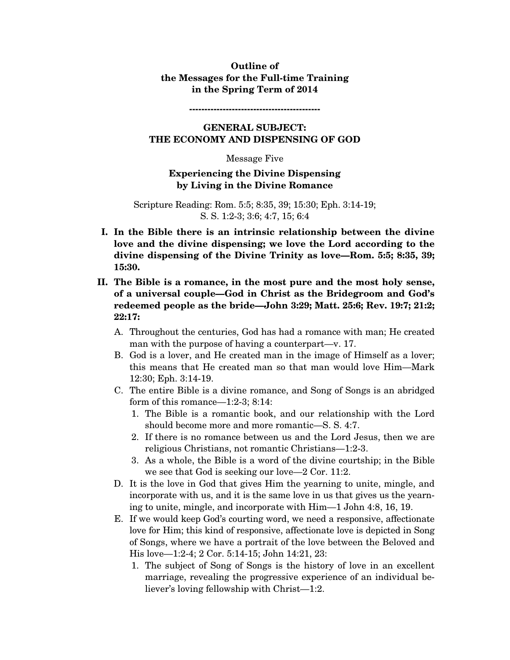## **Outline of the Messages for the Full-time Training in the Spring Term of 2014**

**-------------------------------------------** 

# **GENERAL SUBJECT: THE ECONOMY AND DISPENSING OF GOD**

#### Message Five

### **Experiencing the Divine Dispensing by Living in the Divine Romance**

#### Scripture Reading: Rom. 5:5; 8:35, 39; 15:30; Eph. 3:14-19; S. S. 1:2-3; 3:6; 4:7, 15; 6:4

- **I. In the Bible there is an intrinsic relationship between the divine love and the divine dispensing; we love the Lord according to the divine dispensing of the Divine Trinity as love—Rom. 5:5; 8:35, 39; 15:30.**
- **II. The Bible is a romance, in the most pure and the most holy sense, of a universal couple—God in Christ as the Bridegroom and God's redeemed people as the bride—John 3:29; Matt. 25:6; Rev. 19:7; 21:2; 22:17:** 
	- A. Throughout the centuries, God has had a romance with man; He created man with the purpose of having a counterpart—v. 17.
	- B. God is a lover, and He created man in the image of Himself as a lover; this means that He created man so that man would love Him—Mark 12:30; Eph. 3:14-19.
	- C. The entire Bible is a divine romance, and Song of Songs is an abridged form of this romance—1:2-3; 8:14:
		- 1. The Bible is a romantic book, and our relationship with the Lord should become more and more romantic—S. S. 4:7.
		- 2. If there is no romance between us and the Lord Jesus, then we are religious Christians, not romantic Christians—1:2-3.
		- 3. As a whole, the Bible is a word of the divine courtship; in the Bible we see that God is seeking our love—2 Cor. 11:2.
	- D. It is the love in God that gives Him the yearning to unite, mingle, and incorporate with us, and it is the same love in us that gives us the yearning to unite, mingle, and incorporate with Him—1 John 4:8, 16, 19.
	- E. If we would keep God's courting word, we need a responsive, affectionate love for Him; this kind of responsive, affectionate love is depicted in Song of Songs, where we have a portrait of the love between the Beloved and His love—1:2-4; 2 Cor. 5:14-15; John 14:21, 23:
		- 1. The subject of Song of Songs is the history of love in an excellent marriage, revealing the progressive experience of an individual believer's loving fellowship with Christ—1:2.